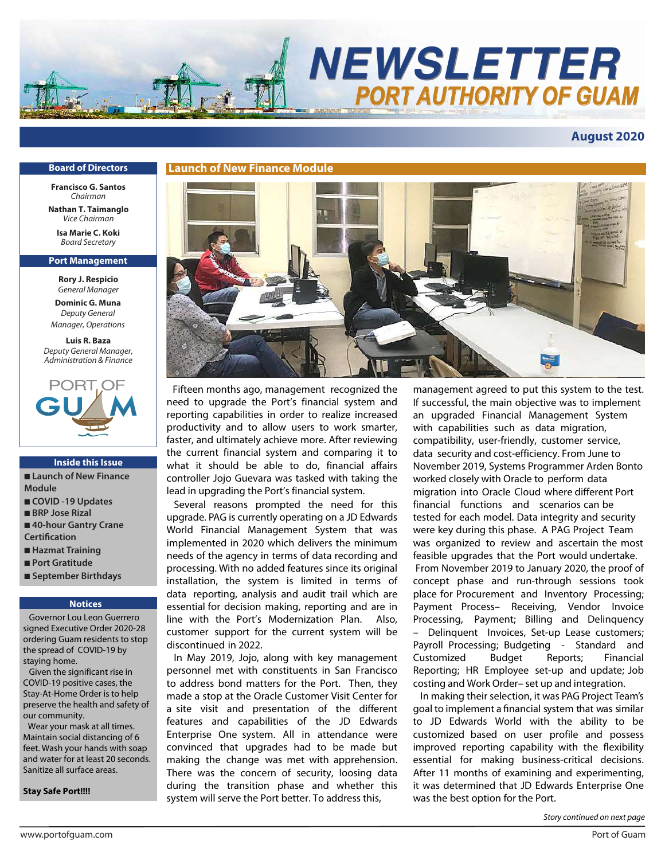

# **August 2020**

#### **Board of Directors**

**Francisco G. Santos** *Chairman*

**Nathan T. Taimanglo** *Vice Chairman*

**Isa Marie C. Koki** *Board Secretary*

#### **Port Management**

**Rory J. Respicio** *General Manager*

**Dominic G. Muna** *Deputy General Manager, Operations*

**Luis R. Baza** *Deputy General Manager, Administration & Finance*



#### **Inside this Issue**

■ **Launch of New Finance Module** ■ **COVID -19 Updates** ■ **BRP** Jose Rizal

- 40-hour Gantry Crane **Certification**
- **Hazmat Training**
- **Port Gratitude**
- **September Birthdays**

#### **Notices**

 Governor Lou Leon Guerrero signed Executive Order 2020-28 ordering Guam residents to stop the spread of COVID-19 by staying home.

 Given the significant rise in COVID-19 positive cases, the Stay-At-Home Order is to help preserve the health and safety of our community.

 Wear your mask at all times. Maintain social distancing of 6 feet. Wash your hands with soap and water for at least 20 seconds. Sanitize all surface areas.

#### **Stay Safe Port!!!!**



Fifteen months ago, management recognized the need to upgrade the Port's financial system and reporting capabilities in order to realize increased productivity and to allow users to work smarter, faster, and ultimately achieve more. After reviewing the current financial system and comparing it to what it should be able to do, financial affairs controller Jojo Guevara was tasked with taking the lead in upgrading the Port's financial system.

 Several reasons prompted the need for this upgrade. PAG is currently operating on a JD Edwards World Financial Management System that was implemented in 2020 which delivers the minimum needs of the agency in terms of data recording and processing. With no added features since its original installation, the system is limited in terms of data reporting, analysis and audit trail which are essential for decision making, reporting and are in line with the Port's Modernization Plan. Also, customer support for the current system will be discontinued in 2022.

 In May 2019, Jojo, along with key management personnel met with constituents in San Francisco to address bond matters for the Port. Then, they made a stop at the Oracle Customer Visit Center for a site visit and presentation of the different features and capabilities of the JD Edwards Enterprise One system. All in attendance were convinced that upgrades had to be made but making the change was met with apprehension. There was the concern of security, loosing data during the transition phase and whether this system will serve the Port better. To address this,

management agreed to put this system to the test. If successful, the main objective was to implement an upgraded Financial Management System with capabilities such as data migration, compatibility, user-friendly, customer service, data security and cost-efficiency. From June to November 2019, Systems Programmer Arden Bonto worked closely with Oracle to perform data migration into Oracle Cloud where different Port financial functions and scenarios can be tested for each model. Data integrity and security were key during this phase. A PAG Project Team was organized to review and ascertain the most feasible upgrades that the Port would undertake. From November 2019 to January 2020, the proof of concept phase and run-through sessions took place for Procurement and Inventory Processing; Payment Process– Receiving, Vendor Invoice Processing, Payment; Billing and Delinquency – Delinquent Invoices, Set-up Lease customers; Payroll Processing; Budgeting - Standard and Customized Budget Reports; Financial Reporting; HR Employee set-up and update; Job costing and Work Order– set up and integration.

 In making their selection, it was PAG Project Team's goal to implement a financial system that was similar to JD Edwards World with the ability to be customized based on user profile and possess improved reporting capability with the flexibility essential for making business-critical decisions. After 11 months of examining and experimenting, it was determined that JD Edwards Enterprise One was the best option for the Port.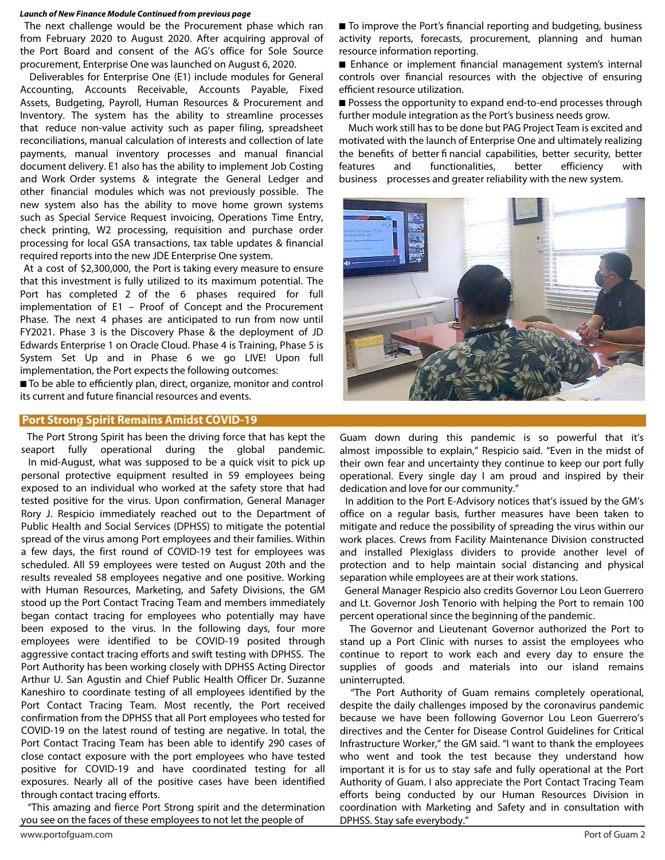#### **Launch of New Finance Module Continued from previous page**

 The next challenge would be the Procurement phase which ran from February 2020 to August 2020. After acquiring approval of the Port Board and consent of the AG's office for Sole Source procurement, Enterprise One was launched on August 6, 2020.

 Deliverables for Enterprise One (E1) include modules for General Accounting, Accounts Receivable, Accounts Payable, Fixed Assets, Budgeting, Payroll, Human Resources & Procurement and Inventory. The system has the ability to streamline processes that reduce non-value activity such as paper filing, spreadsheet reconciliations, manual calculation of interests and collection of late payments, manual inventory processes and manual financial document delivery. E1 also has the ability to implement Job Costing and Work Order systems & integrate the General Ledger and other financial modules which was not previously possible. The new system also has the ability to move home grown systems such as Special Service Request invoicing, Operations Time Entry, check printing, W2 processing, requisition and purchase order processing for local GSA transactions, tax table updates & financial required reports into the new JDE Enterprise One system.

At a cost of \$2,300,000, the Port is taking every measure to ensure that this investment is fully utilized to its maximum potential. The Port has completed 2 of the 6 phases required for full implementation of E1 – Proof of Concept and the Procurement Phase. The next 4 phases are anticipated to run from now until FY2021. Phase 3 is the Discovery Phase & the deployment of JD Edwards Enterprise 1 on Oracle Cloud. Phase 4 is Training, Phase 5 is System Set Up and in Phase 6 we go LIVE! Upon full implementation, the Port expects the following outcomes:

■ To be able to efficiently plan, direct, organize, monitor and control its current and future financial resources and events.

# **Port Strong Spirit Remains Amidst COVID-19**

 The Port Strong Spirit has been the driving force that has kept the seaport fully operational during the global pandemic. In mid-August, what was supposed to be a quick visit to pick up personal protective equipment resulted in 59 employees being exposed to an individual who worked at the safety store that had tested positive for the virus. Upon confirmation, General Manager Rory J. Respicio immediately reached out to the Department of Public Health and Social Services (DPHSS) to mitigate the potential spread of the virus among Port employees and their families. Within a few days, the first round of COVID-19 test for employees was scheduled. All 59 employees were tested on August 20th and the results revealed 58 employees negative and one positive. Working with Human Resources, Marketing, and Safety Divisions, the GM stood up the Port Contact Tracing Team and members immediately began contact tracing for employees who potentially may have been exposed to the virus. In the following days, four more employees were identified to be COVID-19 posited through aggressive contact tracing efforts and swift testing with DPHSS. The Port Authority has been working closely with DPHSS Acting Director Arthur U. San Agustin and Chief Public Health Officer Dr. Suzanne Kaneshiro to coordinate testing of all employees identified by the Port Contact Tracing Team. Most recently, the Port received confirmation from the DPHSS that all Port employees who tested for COVID-19 on the latest round of testing are negative. In total, the Port Contact Tracing Team has been able to identify 290 cases of close contact exposure with the port employees who have tested positive for COVID-19 and have coordinated testing for all exposures. Nearly all of the positive cases have been identified through contact tracing efforts.

 "This amazing and fierce Port Strong spirit and the determination you see on the faces of these employees to not let the people of

■ To improve the Port's financial reporting and budgeting, business activity reports, forecasts, procurement, planning and human resource information reporting.

■ Enhance or implement financial management system's internal controls over financial resources with the objective of ensuring efficient resource utilization.

■ Possess the opportunity to expand end-to-end processes through further module integration as the Port's business needs grow.

 Much work still has to be done but PAG Project Team is excited and motivated with the launch of Enterprise One and ultimately realizing the benefits of better financial capabilities, better security, better features and functionalities, better efficiency with business processes and greater reliability with the new system.



Guam down during this pandemic is so powerful that it's almost impossible to explain," Respicio said. "Even in the midst of their own fear and uncertainty they continue to keep our port fully operational. Every single day I am proud and inspired by their dedication and love for our community."

 In addition to the Port E-Advisory notices that's issued by the GM's office on a regular basis, further measures have been taken to mitigate and reduce the possibility of spreading the virus within our work places. Crews from Facility Maintenance Division constructed and installed Plexiglass dividers to provide another level of protection and to help maintain social distancing and physical separation while employees are at their work stations.

 General Manager Respicio also credits Governor Lou Leon Guerrero and Lt. Governor Josh Tenorio with helping the Port to remain 100 percent operational since the beginning of the pandemic.

 The Governor and Lieutenant Governor authorized the Port to stand up a Port Clinic with nurses to assist the employees who continue to report to work each and every day to ensure the supplies of goods and materials into our island remains uninterrupted.

 "The Port Authority of Guam remains completely operational, despite the daily challenges imposed by the coronavirus pandemic because we have been following Governor Lou Leon Guerrero's directives and the Center for Disease Control Guidelines for Critical Infrastructure Worker," the GM said. "I want to thank the employees who went and took the test because they understand how important it is for us to stay safe and fully operational at the Port Authority of Guam. I also appreciate the Port Contact Tracing Team efforts being conducted by our Human Resources Division in coordination with Marketing and Safety and in consultation with DPHSS. Stay safe everybody."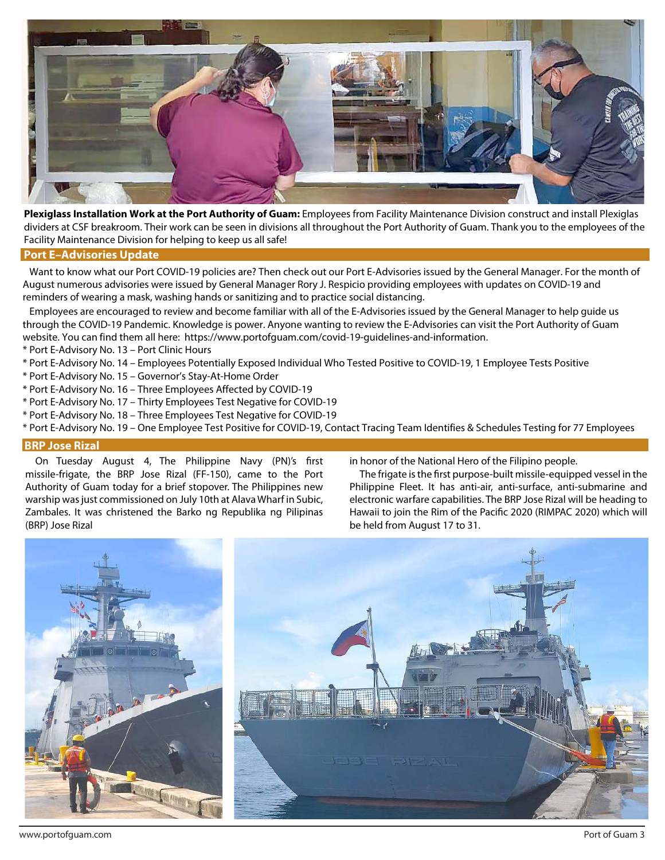

**Plexiglass Installation Work at the Port Authority of Guam:** Employees from Facility Maintenance Division construct and install Plexiglas dividers at CSF breakroom. Their work can be seen in divisions all throughout the Port Authority of Guam. Thank you to the employees of the Facility Maintenance Division for helping to keep us all safe!

# **Port E–Advisories Update**

 Want to know what our Port COVID-19 policies are? Then check out our Port E-Advisories issued by the General Manager. For the month of August numerous advisories were issued by General Manager Rory J. Respicio providing employees with updates on COVID-19 and reminders of wearing a mask, washing hands or sanitizing and to practice social distancing.

 Employees are encouraged to review and become familiar with all of the E-Advisories issued by the General Manager to help guide us through the COVID-19 Pandemic. Knowledge is power. Anyone wanting to review the E-Advisories can visit the Port Authority of Guam website. You can find them all here: https://www.portofguam.com/covid-19-guidelines-and-information.

- \* Port E-Advisory No. 13 Port Clinic Hours
- \* Port E-Advisory No. 14 Employees Potentially Exposed Individual Who Tested Positive to COVID-19, 1 Employee Tests Positive
- \* Port E-Advisory No. 15 Governor's Stay-At-Home Order
- \* Port E-Advisory No. 16 Three Employees Affected by COVID-19
- \* Port E-Advisory No. 17 Thirty Employees Test Negative for COVID-19
- \* Port E-Advisory No. 18 Three Employees Test Negative for COVID-19
- \* Port E-Advisory No. 19 One Employee Test Positive for COVID-19, Contact Tracing Team Identifies & Schedules Testing for 77 Employees

# **BRP Jose Rizal**

On Tuesday August 4, The Philippine Navy (PN)'s first missile-frigate, the BRP Jose Rizal (FF-150), came to the Port Authority of Guam today for a brief stopover. The Philippines new warship was just commissioned on July 10th at Alava Wharf in Subic, Zambales. It was christened the Barko ng Republika ng Pilipinas (BRP) Jose Rizal

in honor of the National Hero of the Filipino people.

The frigate is the first purpose-built missile-equipped vessel in the Philippine Fleet. It has anti-air, anti-surface, anti-submarine and electronic warfare capabilities. The BRP Jose Rizal will be heading to Hawaii to join the Rim of the Pacific 2020 (RIMPAC 2020) which will be held from August 17 to 31.

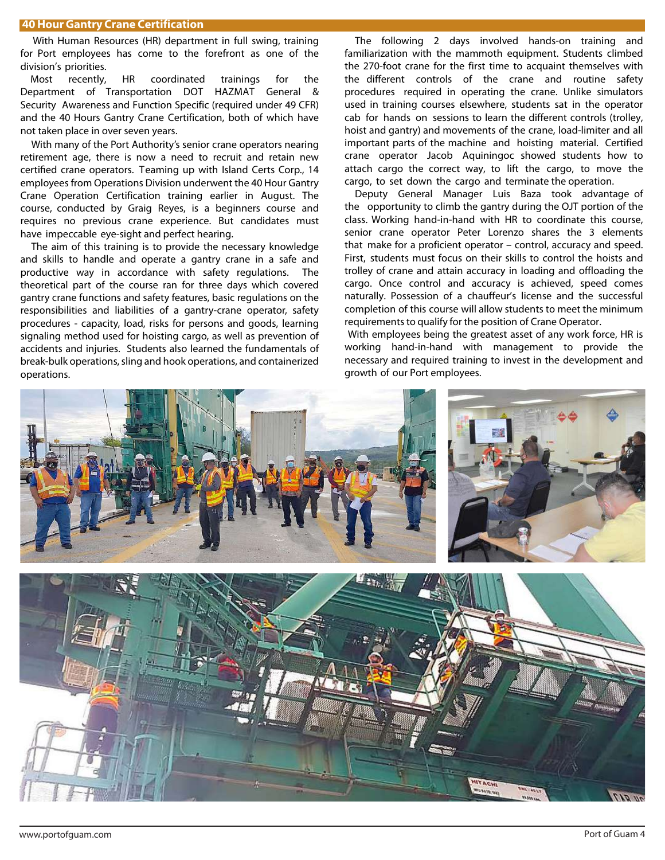With Human Resources (HR) department in full swing, training for Port employees has come to the forefront as one of the division's priorities.

Most recently, HR coordinated trainings for the Department of Transportation DOT HAZMAT General & Security Awareness and Function Specific (required under 49 CFR) and the 40 Hours Gantry Crane Certification, both of which have not taken place in over seven years.

 With many of the Port Authority's senior crane operators nearing retirement age, there is now a need to recruit and retain new certified crane operators. Teaming up with Island Certs Corp., 14 employees from Operations Division underwent the 40 Hour Gantry Crane Operation Certification training earlier in August. The course, conducted by Graig Reyes, is a beginners course and requires no previous crane experience. But candidates must have impeccable eye-sight and perfect hearing.

 The aim of this training is to provide the necessary knowledge and skills to handle and operate a gantry crane in a safe and productive way in accordance with safety regulations. The theoretical part of the course ran for three days which covered gantry crane functions and safety features, basic regulations on the responsibilities and liabilities of a gantry-crane operator, safety procedures - capacity, load, risks for persons and goods, learning signaling method used for hoisting cargo, as well as prevention of accidents and injuries. Students also learned the fundamentals of break-bulk operations, sling and hook operations, and containerized operations.

 The following 2 days involved hands-on training and familiarization with the mammoth equipment. Students climbed the 270-foot crane for the first time to acquaint themselves with the different controls of the crane and routine safety procedures required in operating the crane. Unlike simulators used in training courses elsewhere, students sat in the operator cab for hands on sessions to learn the different controls (trolley, hoist and gantry) and movements of the crane, load-limiter and all important parts of the machine and hoisting material. Certified crane operator Jacob Aquiningoc showed students how to attach cargo the correct way, to lift the cargo, to move the cargo, to set down the cargo and terminate the operation.

 Deputy General Manager Luis Baza took advantage of the opportunity to climb the gantry during the OJT portion of the class. Working hand-in-hand with HR to coordinate this course, senior crane operator Peter Lorenzo shares the 3 elements that make for a proficient operator – control, accuracy and speed. First, students must focus on their skills to control the hoists and trolley of crane and attain accuracy in loading and offloading the cargo. Once control and accuracy is achieved, speed comes naturally. Possession of a chauffeur's license and the successful completion of this course will allow students to meet the minimum requirements to qualify for the position of Crane Operator.

 With employees being the greatest asset of any work force, HR is working hand-in-hand with management to provide the necessary and required training to invest in the development and growth of our Port employees.

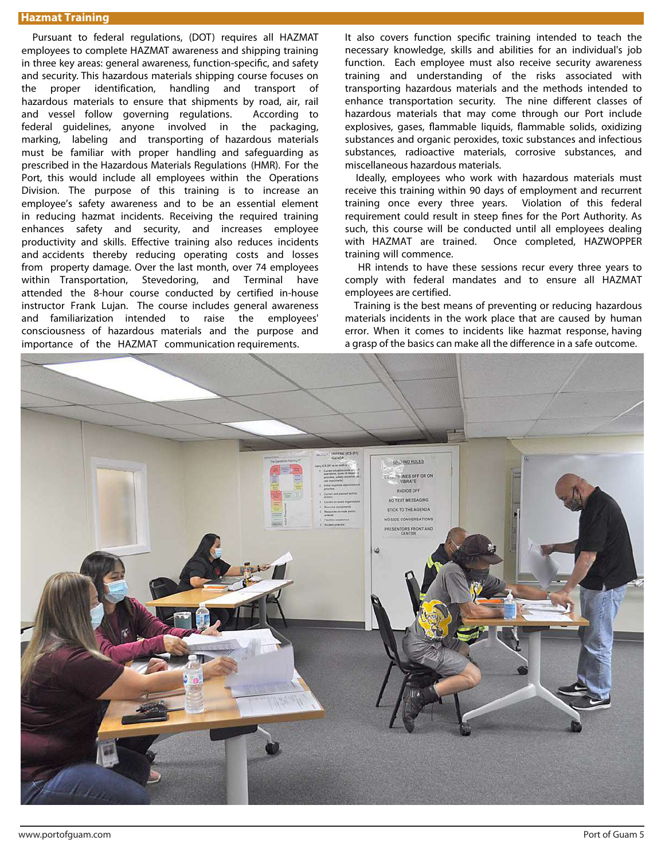# **Hazmat Training**

Pursuant to federal regulations, (DOT) requires all HAZMAT employees to complete HAZMAT awareness and shipping training in three key areas: general awareness, function-specific, and safety and security. This hazardous materials shipping course focuses on the proper identification, handling and transport of hazardous materials to ensure that shipments by road, air, rail and vessel follow governing regulations. According to federal guidelines, anyone involved in the packaging, marking, labeling and transporting of hazardous materials must be familiar with proper handling and safeguarding as prescribed in the Hazardous Materials Regulations (HMR). For the Port, this would include all employees within the Operations Division. The purpose of this training is to increase an employee's safety awareness and to be an essential element in reducing hazmat incidents. Receiving the required training enhances safety and security, and increases employee productivity and skills. Effective training also reduces incidents and accidents thereby reducing operating costs and losses from property damage. Over the last month, over 74 employees within Transportation, Stevedoring, and Terminal have attended the 8-hour course conducted by certified in-house instructor Frank Lujan. The course includes general awareness and familiarization intended to raise the employees' consciousness of hazardous materials and the purpose and importance of the HAZMAT communication requirements.

It also covers function specific training intended to teach the necessary knowledge, skills and abilities for an individual's job function. Each employee must also receive security awareness training and understanding of the risks associated with transporting hazardous materials and the methods intended to enhance transportation security. The nine different classes of hazardous materials that may come through our Port include explosives, gases, flammable liquids, flammable solids, oxidizing substances and organic peroxides, toxic substances and infectious substances, radioactive materials, corrosive substances, and miscellaneous hazardous materials.

 Ideally, employees who work with hazardous materials must receive this training within 90 days of employment and recurrent training once every three years. Violation of this federal requirement could result in steep fines for the Port Authority. As such, this course will be conducted until all employees dealing with HAZMAT are trained. Once completed, HAZWOPPER training will commence.

 HR intends to have these sessions recur every three years to comply with federal mandates and to ensure all HAZMAT employees are certified.

 Training is the best means of preventing or reducing hazardous materials incidents in the work place that are caused by human error. When it comes to incidents like hazmat response, having a grasp of the basics can make all the difference in a safe outcome.